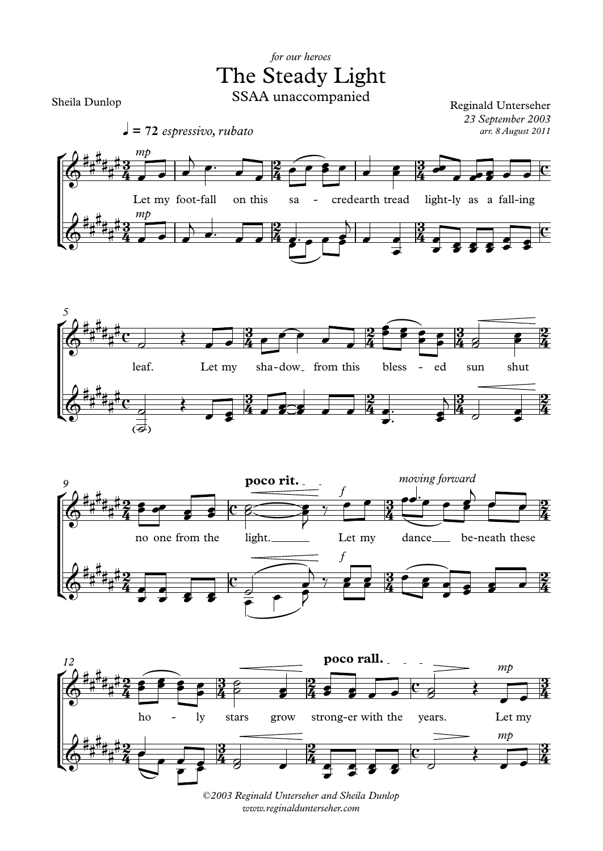## The Steady Light *for our heroes* SSAA unaccompanied

Sheila Dunlop

*arr. 8 August 2011* Reginald Unterseher *23 September 2003*









*©2003 Reginald Unterseher and Sheila Dunlop www.reginaldunterseher.com*